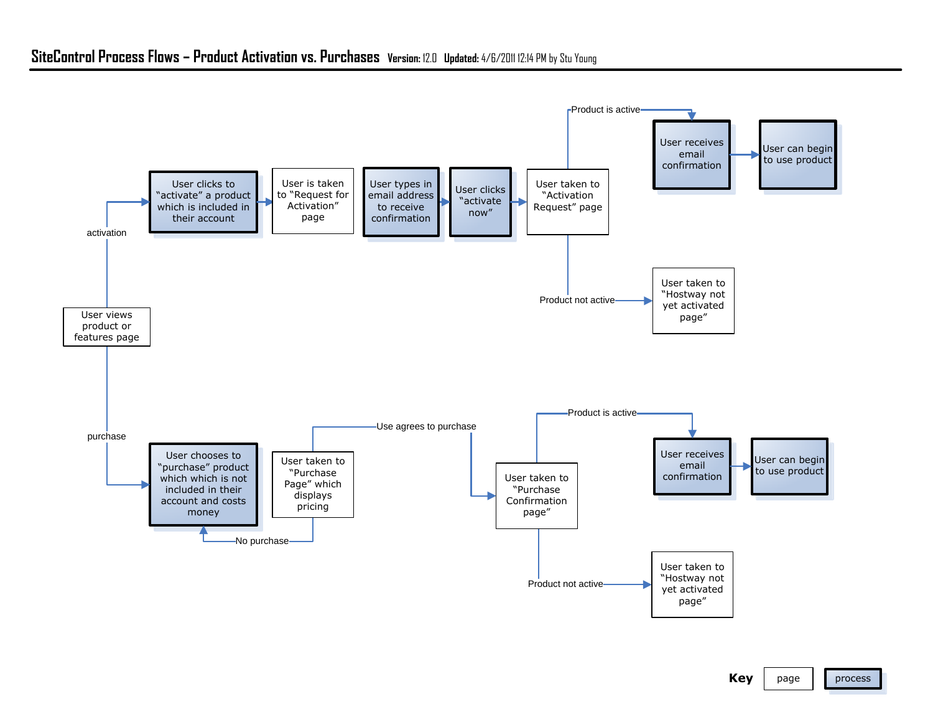## **SiteControl Process Flows – Product Activation vs. Purchases Version:** 12.0 **Updated:** 4/6/2011 12:14 PM by Stu Young